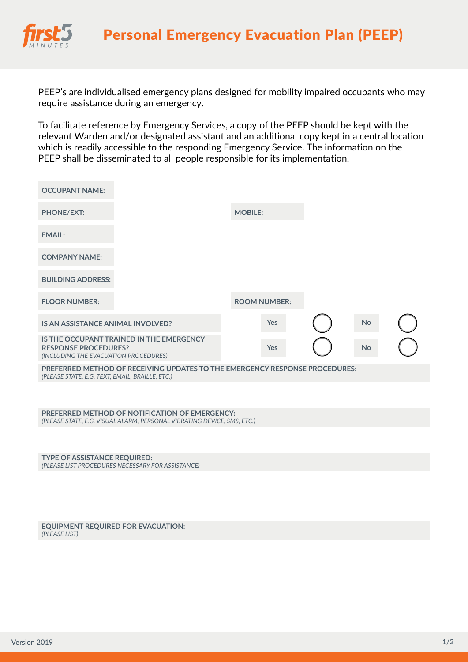

PEEP's are individualised emergency plans designed for mobility impaired occupants who may require assistance during an emergency.

To facilitate reference by Emergency Services, a copy of the PEEP should be kept with the relevant Warden and/or designated assistant and an additional copy kept in a central location which is readily accessible to the responding Emergency Service. The information on the PEEP shall be disseminated to all people responsible for its implementation.

| <b>OCCUPANT NAME:</b>                                                                                                          |                                                                                                                           |                |                     |  |           |  |  |  |  |
|--------------------------------------------------------------------------------------------------------------------------------|---------------------------------------------------------------------------------------------------------------------------|----------------|---------------------|--|-----------|--|--|--|--|
| <b>PHONE/EXT:</b>                                                                                                              |                                                                                                                           | <b>MOBILE:</b> |                     |  |           |  |  |  |  |
| <b>EMAIL:</b>                                                                                                                  |                                                                                                                           |                |                     |  |           |  |  |  |  |
| <b>COMPANY NAME:</b>                                                                                                           |                                                                                                                           |                |                     |  |           |  |  |  |  |
| <b>BUILDING ADDRESS:</b>                                                                                                       |                                                                                                                           |                |                     |  |           |  |  |  |  |
| <b>FLOOR NUMBER:</b>                                                                                                           |                                                                                                                           |                | <b>ROOM NUMBER:</b> |  |           |  |  |  |  |
| IS AN ASSISTANCE ANIMAL INVOLVED?                                                                                              |                                                                                                                           |                | Yes                 |  | <b>No</b> |  |  |  |  |
| <b>RESPONSE PROCEDURES?</b><br>(INCLUDING THE EVACUATION PROCEDURES)                                                           | IS THE OCCUPANT TRAINED IN THE EMERGENCY                                                                                  |                | Yes                 |  | <b>No</b> |  |  |  |  |
| PREFERRED METHOD OF RECEIVING UPDATES TO THE EMERGENCY RESPONSE PROCEDURES:<br>(PLEASE STATE, E.G. TEXT, EMAIL, BRAILLE, ETC.) |                                                                                                                           |                |                     |  |           |  |  |  |  |
|                                                                                                                                |                                                                                                                           |                |                     |  |           |  |  |  |  |
|                                                                                                                                | PREFERRED METHOD OF NOTIFICATION OF EMERGENCY:<br>(PLEASE STATE, E.G. VISUAL ALARM, PERSONAL VIBRATING DEVICE, SMS, ETC.) |                |                     |  |           |  |  |  |  |
|                                                                                                                                |                                                                                                                           |                |                     |  |           |  |  |  |  |

**TYPE OF ASSISTANCE REQUIRED:** *(PLEASE LIST PROCEDURES NECESSARY FOR ASSISTANCE)*

**EQUIPMENT REQUIRED FOR EVACUATION:** *(PLEASE LIST)*